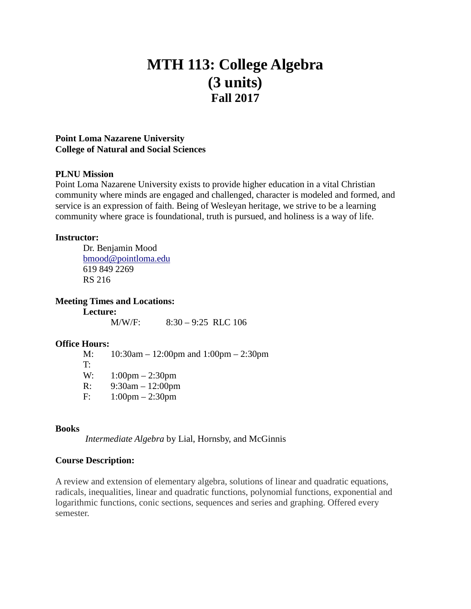# **MTH 113: College Algebra (3 units) Fall 2017**

#### **Point Loma Nazarene University College of Natural and Social Sciences**

#### **PLNU Mission**

Point Loma Nazarene University exists to provide higher education in a vital Christian community where minds are engaged and challenged, character is modeled and formed, and service is an expression of faith. Being of Wesleyan heritage, we strive to be a learning community where grace is foundational, truth is pursued, and holiness is a way of life.

#### **Instructor:**

Dr. Benjamin Mood [bmood@pointloma.edu](mailto:bmood@pointloma.edu) 619 849 2269 RS 216

**Meeting Times and Locations:**

**Lecture:** M/W/F: 8:30 – 9:25 RLC 106

#### **Office Hours:**

M: 10:30am – 12:00pm and 1:00pm – 2:30pm T: W: 1:00pm – 2:30pm R: 9:30am – 12:00pm F: 1:00pm – 2:30pm

#### **Books**

*Intermediate Algebra* by Lial, Hornsby, and McGinnis

#### **Course Description:**

A review and extension of elementary algebra, solutions of linear and quadratic equations, radicals, inequalities, linear and quadratic functions, polynomial functions, exponential and logarithmic functions, conic sections, sequences and series and graphing. Offered every semester.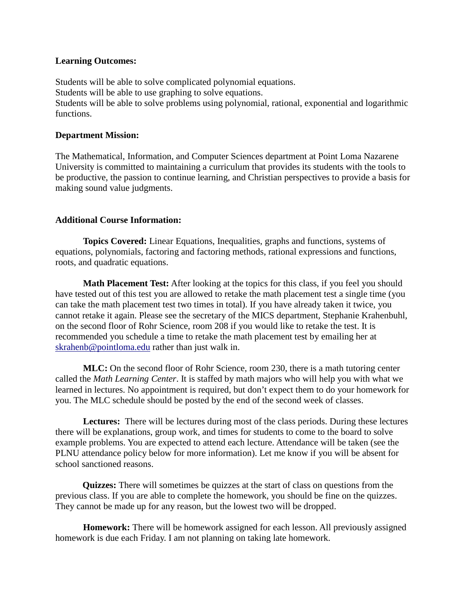#### **Learning Outcomes:**

Students will be able to solve complicated polynomial equations. Students will be able to use graphing to solve equations. Students will be able to solve problems using polynomial, rational, exponential and logarithmic functions.

#### **Department Mission:**

The Mathematical, Information, and Computer Sciences department at Point Loma Nazarene University is committed to maintaining a curriculum that provides its students with the tools to be productive, the passion to continue learning, and Christian perspectives to provide a basis for making sound value judgments.

## **Additional Course Information:**

**Topics Covered:** Linear Equations, Inequalities, graphs and functions, systems of equations, polynomials, factoring and factoring methods, rational expressions and functions, roots, and quadratic equations.

**Math Placement Test:** After looking at the topics for this class, if you feel you should have tested out of this test you are allowed to retake the math placement test a single time (you can take the math placement test two times in total). If you have already taken it twice, you cannot retake it again. Please see the secretary of the MICS department*,* Stephanie Krahenbuhl*,* on the second floor of Rohr Science, room 208 if you would like to retake the test. It is recommended you schedule a time to retake the math placement test by emailing her at [skrahenb@pointloma.edu](mailto:stephaniekrahenbuhl@pointloma.edu) rather than just walk in.

**MLC:** On the second floor of Rohr Science, room 230, there is a math tutoring center called the *Math Learning Center*. It is staffed by math majors who will help you with what we learned in lectures. No appointment is required, but don't expect them to do your homework for you. The MLC schedule should be posted by the end of the second week of classes.

**Lectures:** There will be lectures during most of the class periods. During these lectures there will be explanations, group work, and times for students to come to the board to solve example problems. You are expected to attend each lecture. Attendance will be taken (see the PLNU attendance policy below for more information). Let me know if you will be absent for school sanctioned reasons.

**Quizzes:** There will sometimes be quizzes at the start of class on questions from the previous class. If you are able to complete the homework, you should be fine on the quizzes. They cannot be made up for any reason, but the lowest two will be dropped.

**Homework:** There will be homework assigned for each lesson. All previously assigned homework is due each Friday. I am not planning on taking late homework.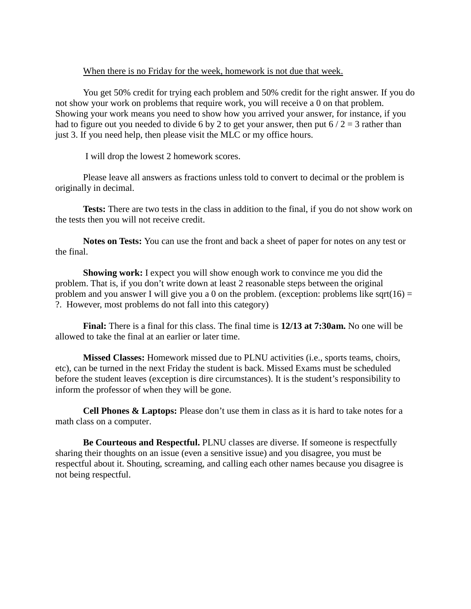#### When there is no Friday for the week, homework is not due that week.

You get 50% credit for trying each problem and 50% credit for the right answer. If you do not show your work on problems that require work, you will receive a 0 on that problem. Showing your work means you need to show how you arrived your answer, for instance, if you had to figure out you needed to divide 6 by 2 to get your answer, then put  $6/2 = 3$  rather than just 3. If you need help, then please visit the MLC or my office hours.

I will drop the lowest 2 homework scores.

Please leave all answers as fractions unless told to convert to decimal or the problem is originally in decimal.

**Tests:** There are two tests in the class in addition to the final, if you do not show work on the tests then you will not receive credit.

**Notes on Tests:** You can use the front and back a sheet of paper for notes on any test or the final.

**Showing work:** I expect you will show enough work to convince me you did the problem. That is, if you don't write down at least 2 reasonable steps between the original problem and you answer I will give you a 0 on the problem. (exception: problems like sqrt( $16$ ) = ?. However, most problems do not fall into this category)

**Final:** There is a final for this class. The final time is **12/13 at 7:30am.** No one will be allowed to take the final at an earlier or later time.

**Missed Classes:** Homework missed due to PLNU activities (i.e., sports teams, choirs, etc), can be turned in the next Friday the student is back. Missed Exams must be scheduled before the student leaves (exception is dire circumstances). It is the student's responsibility to inform the professor of when they will be gone.

**Cell Phones & Laptops:** Please don't use them in class as it is hard to take notes for a math class on a computer.

**Be Courteous and Respectful.** PLNU classes are diverse. If someone is respectfully sharing their thoughts on an issue (even a sensitive issue) and you disagree, you must be respectful about it. Shouting, screaming, and calling each other names because you disagree is not being respectful.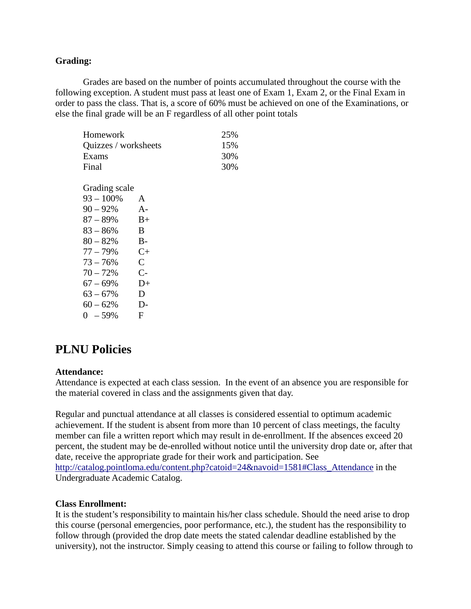## **Grading:**

Grades are based on the number of points accumulated throughout the course with the following exception. A student must pass at least one of Exam 1, Exam 2, or the Final Exam in order to pass the class. That is, a score of 60% must be achieved on one of the Examinations, or else the final grade will be an F regardless of all other point totals

| Homework             | 25% |  |
|----------------------|-----|--|
| Quizzes / worksheets | 15% |  |
| Exams                | 30% |  |
| Final                | 30% |  |

| Grading scale |                |
|---------------|----------------|
| $93 - 100\%$  | A              |
| $90 - 92%$    | A-             |
| $87 - 89%$    | $_{\rm B+}$    |
| $83 - 86%$    | B              |
| $80 - 82%$    | $B -$          |
| $77 - 79%$    | $C+$           |
| $73 - 76%$    | $\overline{C}$ |
| $70 - 72%$    | $C-$           |
| $67 - 69%$    | $D+$           |
| $63 - 67%$    | D              |
| $60 - 62%$    | $D-$           |
| $0 - 59%$     | F              |

# **PLNU Policies**

#### **Attendance:**

Attendance is expected at each class session. In the event of an absence you are responsible for the material covered in class and the assignments given that day.

Regular and punctual attendance at all classes is considered essential to optimum academic achievement. If the student is absent from more than 10 percent of class meetings, the faculty member can file a written report which may result in de-enrollment. If the absences exceed 20 percent, the student may be de-enrolled without notice until the university drop date or, after that date, receive the appropriate grade for their work and participation. See [http://catalog.pointloma.edu/content.php?catoid=24&navoid=1581#Class\\_Attendance](http://catalog.pointloma.edu/content.php?catoid=24&navoid=1581#Class_Attendance) in the Undergraduate Academic Catalog.

#### **Class Enrollment:**

It is the student's responsibility to maintain his/her class schedule. Should the need arise to drop this course (personal emergencies, poor performance, etc.), the student has the responsibility to follow through (provided the drop date meets the stated calendar deadline established by the university), not the instructor. Simply ceasing to attend this course or failing to follow through to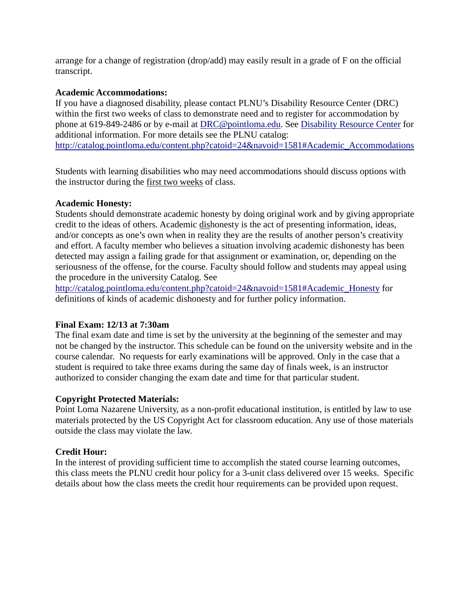arrange for a change of registration (drop/add) may easily result in a grade of F on the official transcript.

#### **Academic Accommodations:**

If you have a diagnosed disability, please contact PLNU's Disability Resource Center (DRC) within the first two weeks of class to demonstrate need and to register for accommodation by phone at 619-849-2486 or by e-mail at [DRC@pointloma.edu.](mailto:DRC@pointloma.edu) See [Disability Resource Center](http://www.pointloma.edu/experience/offices/administrative-offices/academic-advising-office/disability-resource-center) for additional information. For more details see the PLNU catalog: [http://catalog.pointloma.edu/content.php?catoid=24&navoid=1581#Academic\\_Accommodations](http://catalog.pointloma.edu/content.php?catoid=24&navoid=1581#Academic_Accommodations) 

Students with learning disabilities who may need accommodations should discuss options with the instructor during the first two weeks of class.

## **Academic Honesty:**

Students should demonstrate academic honesty by doing original work and by giving appropriate credit to the ideas of others. Academic dishonesty is the act of presenting information, ideas, and/or concepts as one's own when in reality they are the results of another person's creativity and effort. A faculty member who believes a situation involving academic dishonesty has been detected may assign a failing grade for that assignment or examination, or, depending on the seriousness of the offense, for the course. Faculty should follow and students may appeal using the procedure in the university Catalog. See

[http://catalog.pointloma.edu/content.php?catoid=24&navoid=1581#Academic\\_Honesty](http://catalog.pointloma.edu/content.php?catoid=24&navoid=1581#Academic_Honesty) for definitions of kinds of academic dishonesty and for further policy information.

# **Final Exam: 12/13 at 7:30am**

The final exam date and time is set by the university at the beginning of the semester and may not be changed by the instructor. This schedule can be found on the university website and in the course calendar. No requests for early examinations will be approved. Only in the case that a student is required to take three exams during the same day of finals week, is an instructor authorized to consider changing the exam date and time for that particular student.

# **Copyright Protected Materials:**

Point Loma Nazarene University, as a non-profit educational institution, is entitled by law to use materials protected by the US Copyright Act for classroom education. Any use of those materials outside the class may violate the law.

# **Credit Hour:**

In the interest of providing sufficient time to accomplish the stated course learning outcomes, this class meets the PLNU credit hour policy for a 3-unit class delivered over 15 weeks. Specific details about how the class meets the credit hour requirements can be provided upon request.